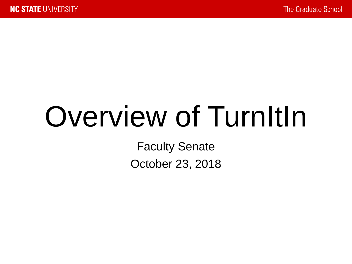# Overview of TurnItIn

Faculty Senate October 23, 2018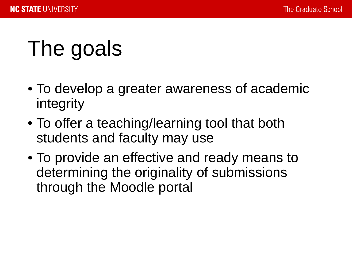# The goals

- To develop a greater awareness of academic integrity
- To offer a teaching/learning tool that both students and faculty may use
- To provide an effective and ready means to determining the originality of submissions through the Moodle portal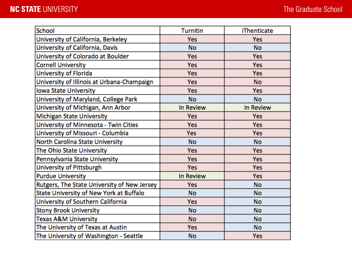| <b>School</b>                               | <b>Turnitin</b>  | <b>iThenticate</b> |
|---------------------------------------------|------------------|--------------------|
| University of California, Berkeley          | Yes              | Yes                |
| University of California, Davis             | No               | <b>No</b>          |
| University of Colorado at Boulder           | Yes              | Yes                |
| <b>Cornell University</b>                   | Yes              | Yes                |
| University of Florida                       | Yes              | Yes                |
| University of Illinois at Urbana-Champaign  | Yes              | <b>No</b>          |
| <b>Iowa State University</b>                | Yes              | Yes                |
| University of Maryland, College Park        | No               | <b>No</b>          |
| University of Michigan, Ann Arbor           | <b>In Review</b> | In Review          |
| <b>Michigan State University</b>            | <b>Yes</b>       | <b>Yes</b>         |
| University of Minnesota - Twin Cities       | <b>Yes</b>       | Yes                |
| University of Missouri - Columbia           | Yes              | Yes                |
| North Carolina State University             | No               | No                 |
| The Ohio State University                   | Yes              | Yes                |
| Pennsylvania State University               | <b>Yes</b>       | <b>Yes</b>         |
| University of Pittsburgh                    | <b>Yes</b>       | <b>Yes</b>         |
| <b>Purdue University</b>                    | <b>In Review</b> | Yes                |
| Rutgers, The State University of New Jersey | Yes              | <b>No</b>          |
| State University of New York at Buffalo     | No               | No                 |
| University of Southern California           | <b>Yes</b>       | No                 |
| <b>Stony Brook University</b>               | No               | <b>No</b>          |
| <b>Texas A&amp;M University</b>             | <b>No</b>        | <b>No</b>          |
| The University of Texas at Austin           | Yes              | <b>No</b>          |
| The University of Washington - Seattle      | No               | Yes                |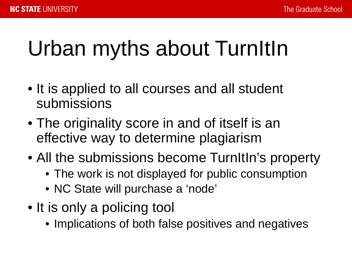# Urban myths about TurnItIn

- It is applied to all courses and all student submissions
- The originality score in and of itself is an effective way to determine plagiarism
- All the submissions become TurnItIn's property
	- The work is not displayed for public consumption
	- NC State will purchase a 'node'
- It is only a policing tool
	- Implications of both false positives and negatives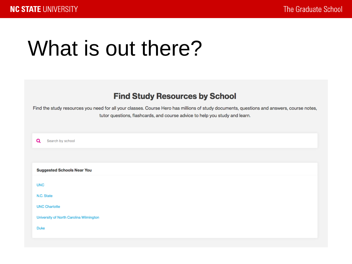# What is out there?

### **Find Study Resources by School**

Find the study resources you need for all your classes. Course Hero has millions of study documents, questions and answers, course notes, tutor questions, flashcards, and course advice to help you study and learn.

 $\mathbf{\Omega}$ Search by school

**Suggested Schools Near You** 

**UNC** 

N.C. State

**UNC Charlotte** 

University of North Carolina Wilmington

**Duke**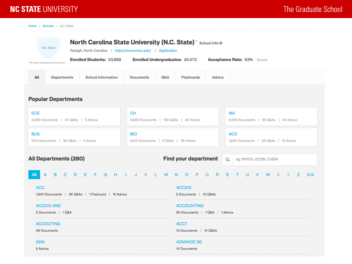### **NC STATE UNIVERSITY**

Home > Schools > N.C. State

| North Carolina State University (N.C. State)* School Info @<br>N.C. State<br>Raleigh, North Carolina   https://www.ncsu.edu/   Application |                                                                                                           |                                   |                                                     |  |
|--------------------------------------------------------------------------------------------------------------------------------------------|-----------------------------------------------------------------------------------------------------------|-----------------------------------|-----------------------------------------------------|--|
| <b>Enrolled Students: 33,989</b><br>* We aren't endorsed by this school                                                                    | <b>Enrolled Undergraduates: 24,473</b>                                                                    |                                   | <b>Acceptance Rate: 53% Source</b>                  |  |
| <b>School Information</b><br>All<br><b>Departments</b>                                                                                     | <b>Q&amp;A</b><br><b>Documents</b>                                                                        | <b>Flashcards</b>                 | <b>Advice</b>                                       |  |
| <b>Popular Departments</b>                                                                                                                 |                                                                                                           |                                   |                                                     |  |
| <b>ECE</b><br>3,038 Documents   37 Q&As   5 Advice                                                                                         | <b>CH</b><br><b>MA</b><br>2,905 Documents   139 Q&As   30 Advice<br>2,236 Documents   65 Q&As   34 Advice |                                   |                                                     |  |
| <b>BUS</b><br>2,113 Documents   48 Q&As   5 Advice                                                                                         | <b>BIO</b><br><b>ACC</b><br>2,144 Documents   5 Q&As   26 Advice<br>1,840 Documents   36 Q&As   15 Advice |                                   |                                                     |  |
| <b>All Departments (280)</b>                                                                                                               | <b>Find your department</b>                                                                               |                                   | $\circ$<br>eg: PSYCH, ECON, CHEM                    |  |
| $\overline{A}$<br>B.<br>D E F G H I J K L M<br>$\overline{C}$<br><b>All</b>                                                                |                                                                                                           | N O P Q R                         | <sub>S</sub><br>$T =$<br>U<br>V W X Y<br>z<br>$O-9$ |  |
| <b>ACC210</b><br><b>ACC</b><br>1,840 Documents   36 Q&As   1 Flashcard   15 Advice<br>5 Documents   10 Q&As                                |                                                                                                           |                                   |                                                     |  |
| <b>ACC210 AND</b><br>5 Documents   1 Q&A                                                                                                   | <b>ACCOUNTING</b><br>90 Documents   1 Q&A   1 Advice                                                      |                                   |                                                     |  |
| <b>ACCOUTING</b><br>49 Documents                                                                                                           | <b>ACCT</b><br>13 Documents   14 Q&As                                                                     |                                   |                                                     |  |
| <b>ADN</b><br>5 Advice                                                                                                                     |                                                                                                           | <b>ADVANCE SE</b><br>14 Documents |                                                     |  |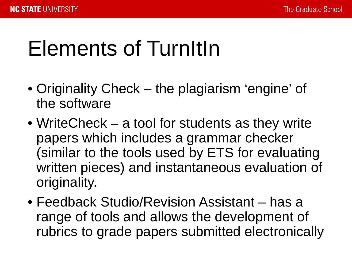# Elements of TurnItIn

- Originality Check the plagiarism 'engine' of the software
- WriteCheck a tool for students as they write papers which includes a grammar checker (similar to the tools used by ETS for evaluating written pieces) and instantaneous evaluation of originality.
- Feedback Studio/Revision Assistant has a range of tools and allows the development of rubrics to grade papers submitted electronically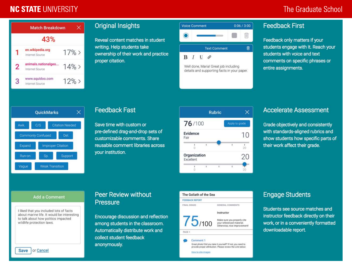### **NC STATE UNIVERSITY**

### The Graduate School



#### **Original Insights**

Reveal content matches in student writing. Help students take ownership of their work and practice proper citation.



**Text Comment** 

俞

 $B$   $I$   $U$   $\varphi$ 

Well done, Maria! Great job including details and supporting facts in your paper.

#### **Feedback First**

Feedback only matters if your students engage with it. Reach your students with voice and text comments on specific phrases or entire assignments.



#### **Feedback Fast**

Save time with custom or pre-defined drag-and-drop sets of customizable comments. Share reusable comment libraries across your institution.



#### **Accelerate Assessment**

Grade objectively and consistently with standards-aligned rubrics and show students how specific parts of their work affect their grade.

#### **Add a Comment**

I liked that you included lots of facts about marine life. It would be interesting to talk about how politics impacted wildlife protection laws.

#### **Peer Review without** Pressure

Encourage discussion and reflection among students in the classroom. Automatically distribute work and collect student feedback anonymously.



How to cite images

#### **Engage Students**

Students see source matches and instructor feedback directly on their work, or in a conveniently formatted downloadable report.